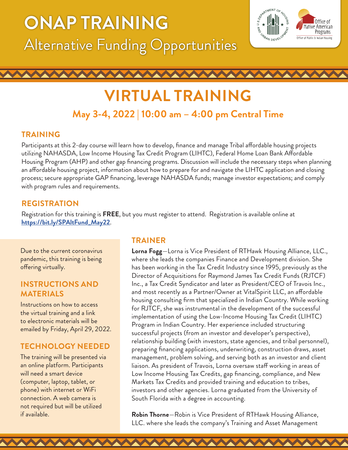# **ONAP TRAINING** Alternative Funding Opportunities



## **VIRTUAL TRAINING May 3-4, 2022 | 10:00 am – 4:00 pm Central Time**

#### **TRAINING**

Participants at this 2-day course will learn how to develop, finance and manage Tribal affordable housing projects utilizing NAHASDA, Low Income Housing Tax Credit Program (LIHTC), Federal Home Loan Bank Affordable Housing Program (AHP) and other gap financing programs. Discussion will include the necessary steps when planning an affordable housing project, information about how to prepare for and navigate the LIHTC application and closing process; secure appropriate GAP financing, leverage NAHASDA funds; manage investor expectations; and comply with program rules and requirements.

### **REGISTRATION**

Registration for this training is **FREE**, but you must register to attend. Registration is available online at **[https://bit.ly/SPAltFund\\_May22](https://bit.ly/SPAltFund_May22)**.

Due to the current coronavirus pandemic, this training is being offering virtually.

#### **INSTRUCTIONS AND MATERIALS**

Instructions on how to access the virtual training and a link to electronic materials will be emailed by Friday, April 29, 2022.

### **TECHNOLOGY NEEDED**

phone) with internet or WiFi<br>
connection. A web camera is South Florida The training will be presented via an online platform. Participants will need a smart device (computer, laptop, tablet, or connection. A web camera is not required but will be utilized if available.

#### **TRAINER**

**Lorna Fogg**—Lorna is Vice President of RTHawk Housing Alliance, LLC., where she leads the companies Finance and Development division. She has been working in the Tax Credit Industry since 1995, previously as the Director of Acquisitions for Raymond James Tax Credit Funds (RJTCF) Inc., a Tax Credit Syndicator and later as President/CEO of Travois Inc., and most recently as a Partner/Owner at VitalSpirit LLC, an affordable housing consulting firm that specialized in Indian Country. While working for RJTCF, she was instrumental in the development of the successful implementation of using the Low-Income Housing Tax Credit (LIHTC) Program in Indian Country. Her experience included structuring successful projects (from an investor and developer's perspective), relationship building (with investors, state agencies, and tribal personnel), preparing financing applications, underwriting, construction draws, asset management, problem solving, and serving both as an investor and client liaison. As president of Travois, Lorna oversaw staff working in areas of Low Income Housing Tax Credits, gap financing, compliance, and New Markets Tax Credits and provided training and education to tribes, investors and other agencies. Lorna graduated from the University of South Florida with a degree in accounting.

not required but will be utilized<br> **Robin Thorne**—Robin is Vice President of RTHawk Housing Alliance, LLC. where she leads the company's Training and Asset Management